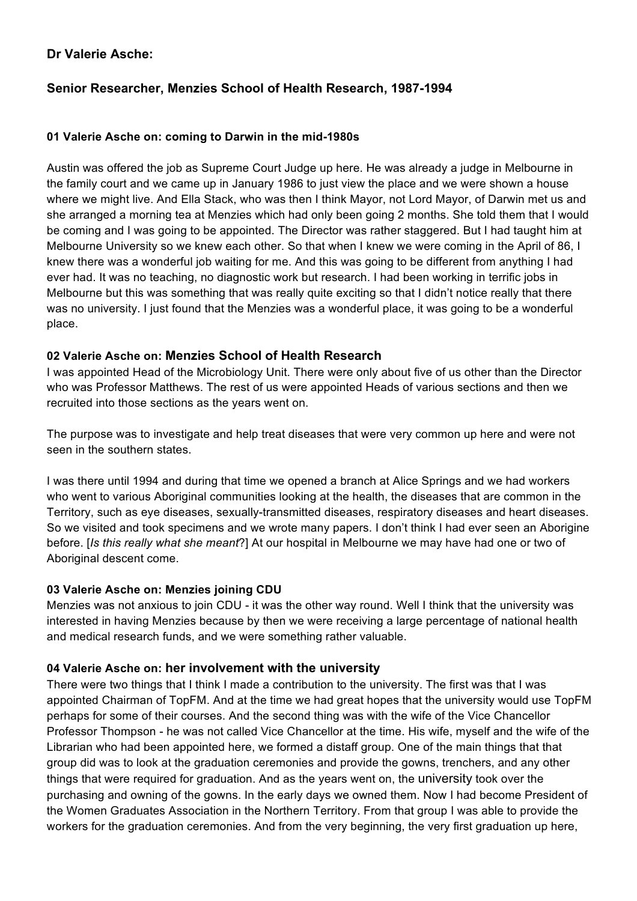## **Dr Valerie Asche:**

# **Senior Researcher, Menzies School of Health Research, 1987-1994**

#### **01 Valerie Asche on: coming to Darwin in the mid-1980s**

Austin was offered the job as Supreme Court Judge up here. He was already a judge in Melbourne in the family court and we came up in January 1986 to just view the place and we were shown a house where we might live. And Ella Stack, who was then I think Mayor, not Lord Mayor, of Darwin met us and she arranged a morning tea at Menzies which had only been going 2 months. She told them that I would be coming and I was going to be appointed. The Director was rather staggered. But I had taught him at Melbourne University so we knew each other. So that when I knew we were coming in the April of 86, I knew there was a wonderful job waiting for me. And this was going to be different from anything I had ever had. It was no teaching, no diagnostic work but research. I had been working in terrific jobs in Melbourne but this was something that was really quite exciting so that I didn't notice really that there was no university. I just found that the Menzies was a wonderful place, it was going to be a wonderful place.

## **02 Valerie Asche on: Menzies School of Health Research**

I was appointed Head of the Microbiology Unit. There were only about five of us other than the Director who was Professor Matthews. The rest of us were appointed Heads of various sections and then we recruited into those sections as the years went on.

The purpose was to investigate and help treat diseases that were very common up here and were not seen in the southern states.

I was there until 1994 and during that time we opened a branch at Alice Springs and we had workers who went to various Aboriginal communities looking at the health, the diseases that are common in the Territory, such as eye diseases, sexually-transmitted diseases, respiratory diseases and heart diseases. So we visited and took specimens and we wrote many papers. I don't think I had ever seen an Aborigine before. [*Is this really what she meant*?] At our hospital in Melbourne we may have had one or two of Aboriginal descent come.

## **03 Valerie Asche on: Menzies joining CDU**

Menzies was not anxious to join CDU - it was the other way round. Well I think that the university was interested in having Menzies because by then we were receiving a large percentage of national health and medical research funds, and we were something rather valuable.

## **04 Valerie Asche on: her involvement with the university**

There were two things that I think I made a contribution to the university. The first was that I was appointed Chairman of TopFM. And at the time we had great hopes that the university would use TopFM perhaps for some of their courses. And the second thing was with the wife of the Vice Chancellor Professor Thompson - he was not called Vice Chancellor at the time. His wife, myself and the wife of the Librarian who had been appointed here, we formed a distaff group. One of the main things that that group did was to look at the graduation ceremonies and provide the gowns, trenchers, and any other things that were required for graduation. And as the years went on, the university took over the purchasing and owning of the gowns. In the early days we owned them. Now I had become President of the Women Graduates Association in the Northern Territory. From that group I was able to provide the workers for the graduation ceremonies. And from the very beginning, the very first graduation up here,